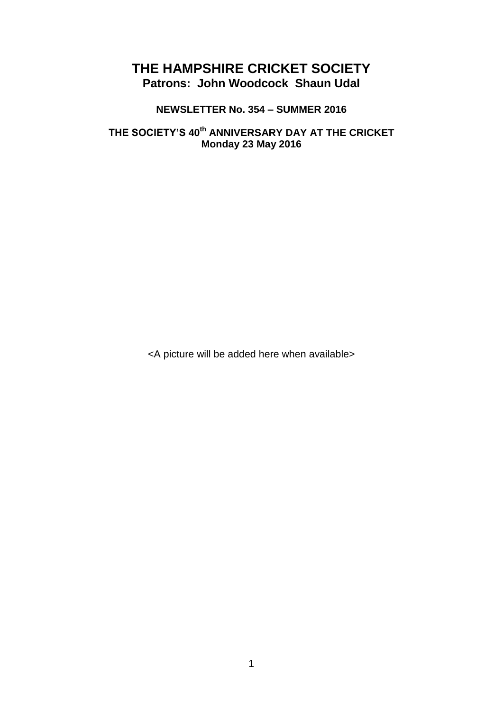# **THE HAMPSHIRE CRICKET SOCIETY Patrons: John Woodcock Shaun Udal**

## **NEWSLETTER No. 354 – SUMMER 2016**

## **THE SOCIETY'S 40th ANNIVERSARY DAY AT THE CRICKET Monday 23 May 2016**

<A picture will be added here when available>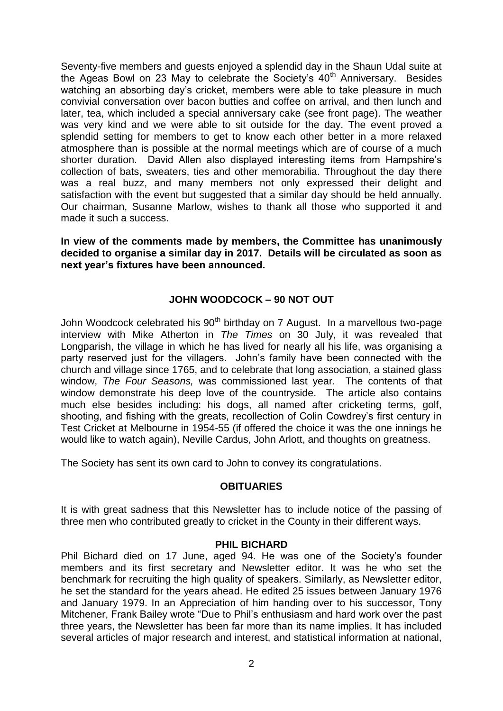Seventy-five members and guests enjoyed a splendid day in the Shaun Udal suite at the Ageas Bowl on 23 May to celebrate the Society's  $40<sup>th</sup>$  Anniversary. Besides watching an absorbing day's cricket, members were able to take pleasure in much convivial conversation over bacon butties and coffee on arrival, and then lunch and later, tea, which included a special anniversary cake (see front page). The weather was very kind and we were able to sit outside for the day. The event proved a splendid setting for members to get to know each other better in a more relaxed atmosphere than is possible at the normal meetings which are of course of a much shorter duration. David Allen also displayed interesting items from Hampshire's collection of bats, sweaters, ties and other memorabilia. Throughout the day there was a real buzz, and many members not only expressed their delight and satisfaction with the event but suggested that a similar day should be held annually. Our chairman, Susanne Marlow, wishes to thank all those who supported it and made it such a success.

**In view of the comments made by members, the Committee has unanimously decided to organise a similar day in 2017. Details will be circulated as soon as next year's fixtures have been announced.** 

## **JOHN WOODCOCK – 90 NOT OUT**

John Woodcock celebrated his 90<sup>th</sup> birthday on 7 August. In a marvellous two-page interview with Mike Atherton in *The Times* on 30 July, it was revealed that Longparish, the village in which he has lived for nearly all his life, was organising a party reserved just for the villagers. John's family have been connected with the church and village since 1765, and to celebrate that long association, a stained glass window, *The Four Seasons,* was commissioned last year. The contents of that window demonstrate his deep love of the countryside. The article also contains much else besides including: his dogs, all named after cricketing terms, golf, shooting, and fishing with the greats, recollection of Colin Cowdrey's first century in Test Cricket at Melbourne in 1954-55 (if offered the choice it was the one innings he would like to watch again), Neville Cardus, John Arlott, and thoughts on greatness.

The Society has sent its own card to John to convey its congratulations.

## **OBITUARIES**

It is with great sadness that this Newsletter has to include notice of the passing of three men who contributed greatly to cricket in the County in their different ways.

#### **PHIL BICHARD**

Phil Bichard died on 17 June, aged 94. He was one of the Society's founder members and its first secretary and Newsletter editor. It was he who set the benchmark for recruiting the high quality of speakers. Similarly, as Newsletter editor, he set the standard for the years ahead. He edited 25 issues between January 1976 and January 1979. In an Appreciation of him handing over to his successor, Tony Mitchener, Frank Bailey wrote "Due to Phil's enthusiasm and hard work over the past three years, the Newsletter has been far more than its name implies. It has included several articles of major research and interest, and statistical information at national,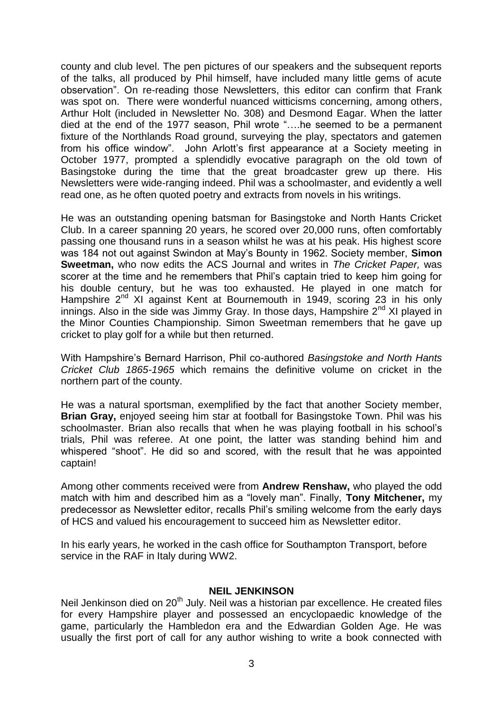county and club level. The pen pictures of our speakers and the subsequent reports of the talks, all produced by Phil himself, have included many little gems of acute observation". On re-reading those Newsletters, this editor can confirm that Frank was spot on. There were wonderful nuanced witticisms concerning, among others, Arthur Holt (included in Newsletter No. 308) and Desmond Eagar. When the latter died at the end of the 1977 season, Phil wrote "….he seemed to be a permanent fixture of the Northlands Road ground, surveying the play, spectators and gatemen from his office window". John Arlott's first appearance at a Society meeting in October 1977, prompted a splendidly evocative paragraph on the old town of Basingstoke during the time that the great broadcaster grew up there. His Newsletters were wide-ranging indeed. Phil was a schoolmaster, and evidently a well read one, as he often quoted poetry and extracts from novels in his writings.

He was an outstanding opening batsman for Basingstoke and North Hants Cricket Club. In a career spanning 20 years, he scored over 20,000 runs, often comfortably passing one thousand runs in a season whilst he was at his peak. His highest score was 184 not out against Swindon at May's Bounty in 1962. Society member, **Simon Sweetman,** who now edits the ACS Journal and writes in *The Cricket Paper,* was scorer at the time and he remembers that Phil's captain tried to keep him going for his double century, but he was too exhausted. He played in one match for Hampshire 2<sup>nd</sup> XI against Kent at Bournemouth in 1949, scoring 23 in his only innings. Also in the side was Jimmy Gray. In those days, Hampshire  $2<sup>nd</sup>$  XI played in the Minor Counties Championship. Simon Sweetman remembers that he gave up cricket to play golf for a while but then returned.

With Hampshire's Bernard Harrison, Phil co-authored *Basingstoke and North Hants Cricket Club 1865-1965* which remains the definitive volume on cricket in the northern part of the county.

He was a natural sportsman, exemplified by the fact that another Society member, **Brian Gray,** enjoyed seeing him star at football for Basingstoke Town. Phil was his schoolmaster. Brian also recalls that when he was playing football in his school's trials, Phil was referee. At one point, the latter was standing behind him and whispered "shoot". He did so and scored, with the result that he was appointed captain!

Among other comments received were from **Andrew Renshaw,** who played the odd match with him and described him as a "lovely man". Finally, **Tony Mitchener,** my predecessor as Newsletter editor, recalls Phil's smiling welcome from the early days of HCS and valued his encouragement to succeed him as Newsletter editor.

In his early years, he worked in the cash office for Southampton Transport, before service in the RAF in Italy during WW2.

#### **NEIL JENKINSON**

Neil Jenkinson died on 20<sup>th</sup> July. Neil was a historian par excellence. He created files for every Hampshire player and possessed an encyclopaedic knowledge of the game, particularly the Hambledon era and the Edwardian Golden Age. He was usually the first port of call for any author wishing to write a book connected with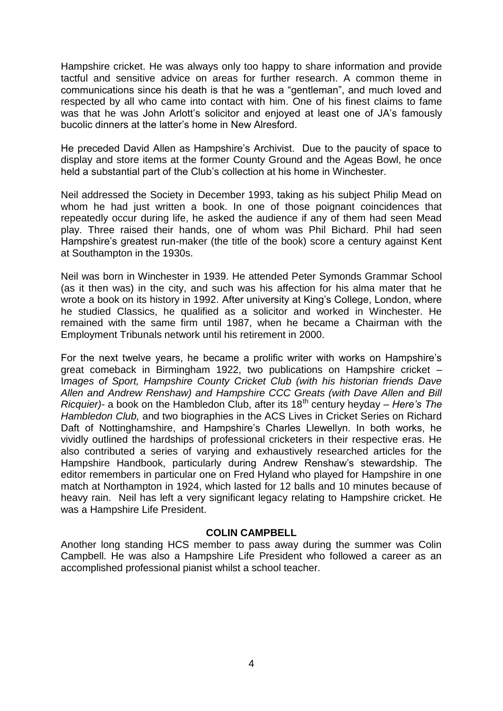Hampshire cricket. He was always only too happy to share information and provide tactful and sensitive advice on areas for further research. A common theme in communications since his death is that he was a "gentleman", and much loved and respected by all who came into contact with him. One of his finest claims to fame was that he was John Arlott's solicitor and enjoyed at least one of JA's famously bucolic dinners at the latter's home in New Alresford.

He preceded David Allen as Hampshire's Archivist. Due to the paucity of space to display and store items at the former County Ground and the Ageas Bowl, he once held a substantial part of the Club's collection at his home in Winchester.

Neil addressed the Society in December 1993, taking as his subject Philip Mead on whom he had just written a book. In one of those poignant coincidences that repeatedly occur during life, he asked the audience if any of them had seen Mead play. Three raised their hands, one of whom was Phil Bichard. Phil had seen Hampshire's greatest run-maker (the title of the book) score a century against Kent at Southampton in the 1930s.

Neil was born in Winchester in 1939. He attended Peter Symonds Grammar School (as it then was) in the city, and such was his affection for his alma mater that he wrote a book on its history in 1992. After university at King's College, London, where he studied Classics, he qualified as a solicitor and worked in Winchester. He remained with the same firm until 1987, when he became a Chairman with the Employment Tribunals network until his retirement in 2000.

For the next twelve years, he became a prolific writer with works on Hampshire's great comeback in Birmingham 1922, two publications on Hampshire cricket – I*mages of Sport, Hampshire County Cricket Club (with his historian friends Dave Allen and Andrew Renshaw) and Hampshire CCC Greats (with Dave Allen and Bill Ricquier*)- a book on the Hambledon Club, after its 18<sup>th</sup> century heyday – *Here's The Hambledon Club,* and two biographies in the ACS Lives in Cricket Series on Richard Daft of Nottinghamshire, and Hampshire's Charles Llewellyn. In both works, he vividly outlined the hardships of professional cricketers in their respective eras. He also contributed a series of varying and exhaustively researched articles for the Hampshire Handbook, particularly during Andrew Renshaw's stewardship. The editor remembers in particular one on Fred Hyland who played for Hampshire in one match at Northampton in 1924, which lasted for 12 balls and 10 minutes because of heavy rain. Neil has left a very significant legacy relating to Hampshire cricket. He was a Hampshire Life President.

#### **COLIN CAMPBELL**

Another long standing HCS member to pass away during the summer was Colin Campbell. He was also a Hampshire Life President who followed a career as an accomplished professional pianist whilst a school teacher.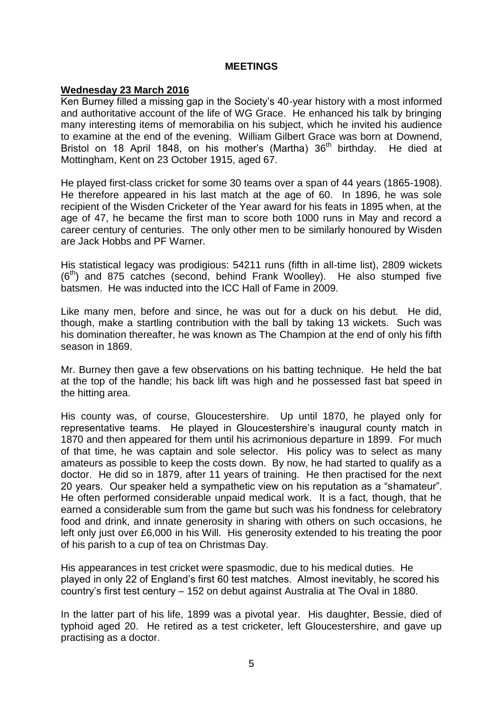#### **MEETINGS**

#### **Wednesday 23 March 2016**

Ken Burney filled a missing gap in the Society's 40-year history with a most informed and authoritative account of the life of WG Grace. He enhanced his talk by bringing many interesting items of memorabilia on his subject, which he invited his audience to examine at the end of the evening. William Gilbert Grace was born at Downend, Bristol on 18 April 1848, on his mother's (Martha) 36<sup>th</sup> birthday. He died at Mottingham, Kent on 23 October 1915, aged 67.

He played first-class cricket for some 30 teams over a span of 44 years (1865-1908). He therefore appeared in his last match at the age of 60. In 1896, he was sole recipient of the Wisden Cricketer of the Year award for his feats in 1895 when, at the age of 47, he became the first man to score both 1000 runs in May and record a career century of centuries. The only other men to be similarly honoured by Wisden are Jack Hobbs and PF Warner.

His statistical legacy was prodigious: 54211 runs (fifth in all-time list), 2809 wickets  $(6<sup>th</sup>)$  and 875 catches (second, behind Frank Woolley). He also stumped five batsmen. He was inducted into the ICC Hall of Fame in 2009.

Like many men, before and since, he was out for a duck on his debut. He did, though, make a startling contribution with the ball by taking 13 wickets. Such was his domination thereafter, he was known as The Champion at the end of only his fifth season in 1869.

Mr. Burney then gave a few observations on his batting technique. He held the bat at the top of the handle; his back lift was high and he possessed fast bat speed in the hitting area.

His county was, of course, Gloucestershire. Up until 1870, he played only for representative teams. He played in Gloucestershire's inaugural county match in 1870 and then appeared for them until his acrimonious departure in 1899. For much of that time, he was captain and sole selector. His policy was to select as many amateurs as possible to keep the costs down. By now, he had started to qualify as a doctor. He did so in 1879, after 11 years of training. He then practised for the next 20 years. Our speaker held a sympathetic view on his reputation as a "shamateur". He often performed considerable unpaid medical work. It is a fact, though, that he earned a considerable sum from the game but such was his fondness for celebratory food and drink, and innate generosity in sharing with others on such occasions, he left only just over £6,000 in his Will. His generosity extended to his treating the poor of his parish to a cup of tea on Christmas Day.

His appearances in test cricket were spasmodic, due to his medical duties. He played in only 22 of England's first 60 test matches. Almost inevitably, he scored his country's first test century – 152 on debut against Australia at The Oval in 1880.

In the latter part of his life, 1899 was a pivotal year. His daughter, Bessie, died of typhoid aged 20. He retired as a test cricketer, left Gloucestershire, and gave up practising as a doctor.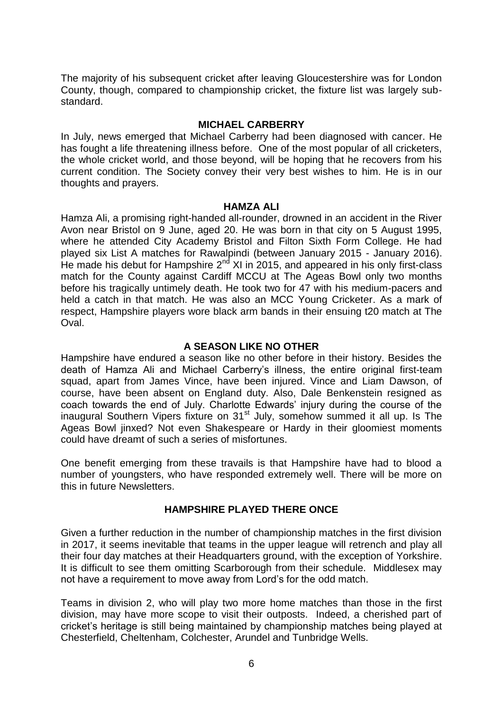The majority of his subsequent cricket after leaving Gloucestershire was for London County, though, compared to championship cricket, the fixture list was largely substandard.

#### **MICHAEL CARBERRY**

In July, news emerged that Michael Carberry had been diagnosed with cancer. He has fought a life threatening illness before. One of the most popular of all cricketers, the whole cricket world, and those beyond, will be hoping that he recovers from his current condition. The Society convey their very best wishes to him. He is in our thoughts and prayers.

#### **HAMZA ALI**

Hamza Ali, a promising right-handed all-rounder, drowned in an accident in the River Avon near Bristol on 9 June, aged 20. He was born in that city on 5 August 1995, where he attended City Academy Bristol and Filton Sixth Form College. He had played six List A matches for Rawalpindi (between January 2015 - January 2016). He made his debut for Hampshire  $2^{nd}$  XI in 2015, and appeared in his only first-class match for the County against Cardiff MCCU at The Ageas Bowl only two months before his tragically untimely death. He took two for 47 with his medium-pacers and held a catch in that match. He was also an MCC Young Cricketer. As a mark of respect, Hampshire players wore black arm bands in their ensuing t20 match at The Oval.

## **A SEASON LIKE NO OTHER**

Hampshire have endured a season like no other before in their history. Besides the death of Hamza Ali and Michael Carberry's illness, the entire original first-team squad, apart from James Vince, have been injured. Vince and Liam Dawson, of course, have been absent on England duty. Also, Dale Benkenstein resigned as coach towards the end of July. Charlotte Edwards' injury during the course of the inaugural Southern Vipers fixture on 31<sup>st</sup> July, somehow summed it all up. Is The Ageas Bowl jinxed? Not even Shakespeare or Hardy in their gloomiest moments could have dreamt of such a series of misfortunes.

One benefit emerging from these travails is that Hampshire have had to blood a number of youngsters, who have responded extremely well. There will be more on this in future Newsletters.

## **HAMPSHIRE PLAYED THERE ONCE**

Given a further reduction in the number of championship matches in the first division in 2017, it seems inevitable that teams in the upper league will retrench and play all their four day matches at their Headquarters ground, with the exception of Yorkshire. It is difficult to see them omitting Scarborough from their schedule. Middlesex may not have a requirement to move away from Lord's for the odd match.

Teams in division 2, who will play two more home matches than those in the first division, may have more scope to visit their outposts. Indeed, a cherished part of cricket's heritage is still being maintained by championship matches being played at Chesterfield, Cheltenham, Colchester, Arundel and Tunbridge Wells.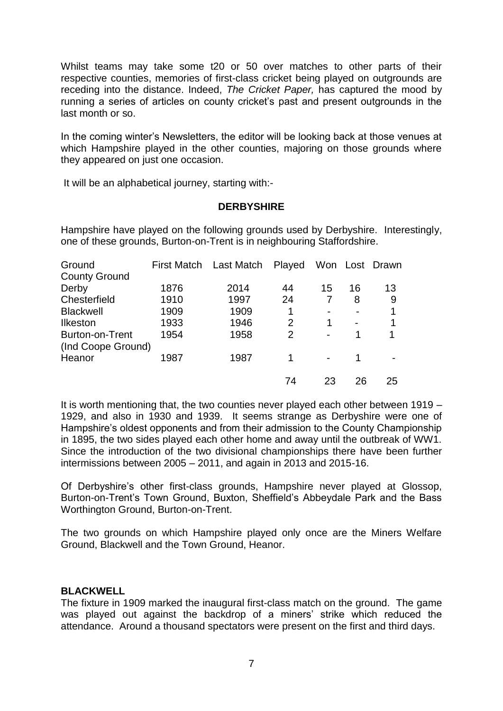Whilst teams may take some t20 or 50 over matches to other parts of their respective counties, memories of first-class cricket being played on outgrounds are receding into the distance. Indeed, *The Cricket Paper,* has captured the mood by running a series of articles on county cricket's past and present outgrounds in the last month or so.

In the coming winter's Newsletters, the editor will be looking back at those venues at which Hampshire played in the other counties, majoring on those grounds where they appeared on just one occasion.

It will be an alphabetical journey, starting with:-

#### **DERBYSHIRE**

Hampshire have played on the following grounds used by Derbyshire. Interestingly, one of these grounds, Burton-on-Trent is in neighbouring Staffordshire.

| Ground               |      | First Match Last Match | Played         |                |                          | Won Lost Drawn |
|----------------------|------|------------------------|----------------|----------------|--------------------------|----------------|
| <b>County Ground</b> |      |                        |                |                |                          |                |
| Derby                | 1876 | 2014                   | 44             | 15             | 16                       | 13             |
| Chesterfield         | 1910 | 1997                   | 24             |                | 8                        | 9              |
| <b>Blackwell</b>     | 1909 | 1909                   | 1              |                | $\overline{\phantom{0}}$ | 1              |
| <b>Ilkeston</b>      | 1933 | 1946                   | $\overline{2}$ | 1              | $\blacksquare$           | 1              |
| Burton-on-Trent      | 1954 | 1958                   | $\overline{2}$ | $\blacksquare$ | 1                        |                |
| (Ind Coope Ground)   |      |                        |                |                |                          |                |
| Heanor               | 1987 | 1987                   | 1              |                | 1                        |                |
|                      |      |                        | 74             | 23             | 26                       | 25             |

It is worth mentioning that, the two counties never played each other between 1919 – 1929, and also in 1930 and 1939. It seems strange as Derbyshire were one of Hampshire's oldest opponents and from their admission to the County Championship in 1895, the two sides played each other home and away until the outbreak of WW1. Since the introduction of the two divisional championships there have been further intermissions between 2005 – 2011, and again in 2013 and 2015-16.

Of Derbyshire's other first-class grounds, Hampshire never played at Glossop, Burton-on-Trent's Town Ground, Buxton, Sheffield's Abbeydale Park and the Bass Worthington Ground, Burton-on-Trent.

The two grounds on which Hampshire played only once are the Miners Welfare Ground, Blackwell and the Town Ground, Heanor.

## **BLACKWELL**

The fixture in 1909 marked the inaugural first-class match on the ground. The game was played out against the backdrop of a miners' strike which reduced the attendance. Around a thousand spectators were present on the first and third days.